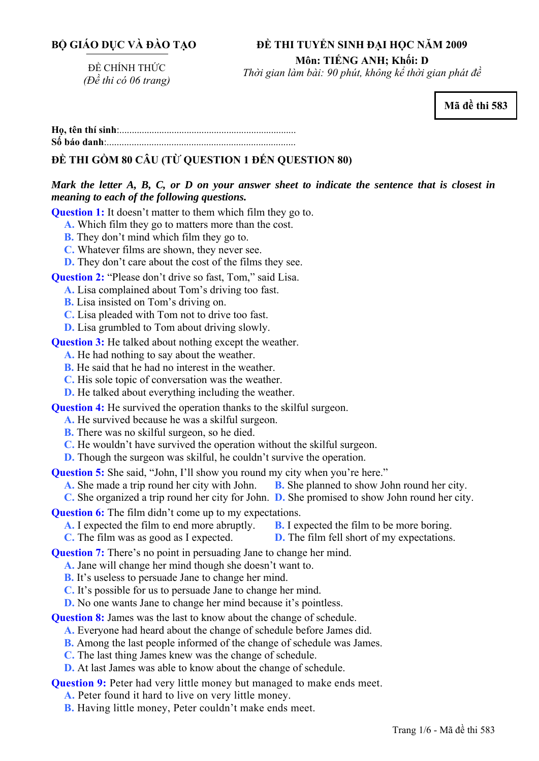# **BỘ GIÁO DỤC VÀ ĐÀO TẠO**

# **ĐỀ THI TUYỂN SINH ĐẠI HỌC NĂM 2009**

**Môn: TIẾNG ANH; Khối: D** 

ĐỀ CHÍNH THỨC *(Đề thi có 06 trang)* 

*Thời gian làm bài: 90 phút, không kể thời gian phát đề*

**Mã đề thi 583** 

**<sup>H</sup>ọ, tên thí sinh**:.......................................................................... **Số báo danh**:............................................................................

# **ĐỀ THI GỒM 80 CÂU (TỪ QUESTION 1 ĐẾN QUESTION 80)**

# *Mark the letter A, B, C, or D on your answer sheet to indicate the sentence that is closest in meaning to each of the following questions.*

**Question 1:** It doesn't matter to them which film they go to.

- **A.** Which film they go to matters more than the cost.
- **B.** They don't mind which film they go to.
- **C.** Whatever films are shown, they never see.
- **D.** They don't care about the cost of the films they see.

**Question 2:** "Please don't drive so fast, Tom," said Lisa.

- **A.** Lisa complained about Tom's driving too fast.
- **B.** Lisa insisted on Tom's driving on.
- **C.** Lisa pleaded with Tom not to drive too fast.
- **D.** Lisa grumbled to Tom about driving slowly.

**Question 3:** He talked about nothing except the weather.

- **A.** He had nothing to say about the weather.
- **B.** He said that he had no interest in the weather.
- **C.** His sole topic of conversation was the weather.
- **D.** He talked about everything including the weather.

**Question 4:** He survived the operation thanks to the skilful surgeon.

- **A.** He survived because he was a skilful surgeon.
- **B.** There was no skilful surgeon, so he died.
- **C.** He wouldn't have survived the operation without the skilful surgeon.
- **D.** Though the surgeon was skilful, he couldn't survive the operation.

**Question 5:** She said, "John, I'll show you round my city when you're here."

- **A.** She made a trip round her city with John. **B.** She planned to show John round her city.
- **C.** She organized a trip round her city for John. **D.** She promised to show John round her city.

**Question 6:** The film didn't come up to my expectations.

- **A.** I expected the film to end more abruptly. **B.** I expected the film to be more boring.
- **C.** The film was as good as I expected. **D.** The film fell short of my expectations.

**Question 7:** There's no point in persuading Jane to change her mind.

- **A.** Jane will change her mind though she doesn't want to.
	- **B.** It's useless to persuade Jane to change her mind.
	- **C.** It's possible for us to persuade Jane to change her mind.
	- **D.** No one wants Jane to change her mind because it's pointless.

**Question 8:** James was the last to know about the change of schedule.

- **A.** Everyone had heard about the change of schedule before James did.
- **B.** Among the last people informed of the change of schedule was James.
- **C.** The last thing James knew was the change of schedule.
- **D.** At last James was able to know about the change of schedule.

#### **Question 9:** Peter had very little money but managed to make ends meet.

**A.** Peter found it hard to live on very little money.

**B.** Having little money, Peter couldn't make ends meet.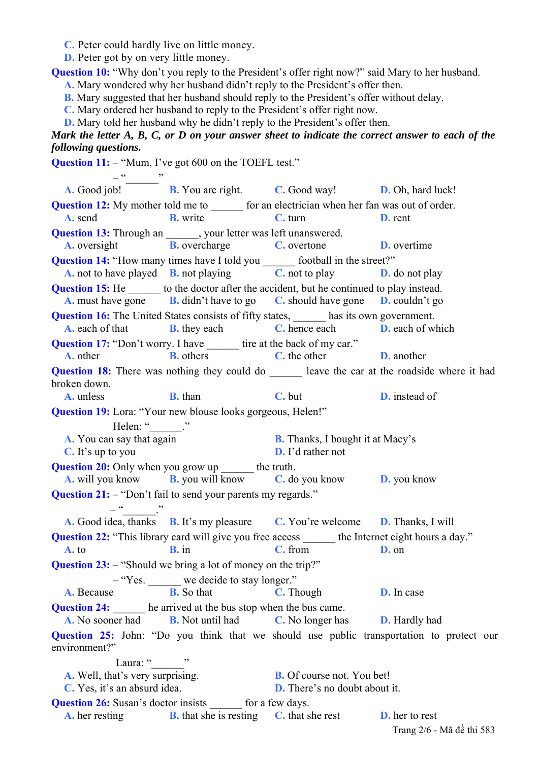**C.** Peter could hardly live on little money.

**D.** Peter got by on very little money.

**Question 10:** "Why don't you reply to the President's offer right now?" said Mary to her husband.

**A.** Mary wondered why her husband didn't reply to the President's offer then.

**B.** Mary suggested that her husband should reply to the President's offer without delay.

**C.** Mary ordered her husband to reply to the President's offer right now.

**D.** Mary told her husband why he didn't reply to the President's offer then.

# *Mark the letter A, B, C, or D on your answer sheet to indicate the correct answer to each of the following questions.*

**Question 11:** – "Mum, I've got 600 on the TOEFL test."

 $-$ **A.** Good job! **B.** You are right. **C.** Good way! **D.** Oh, hard luck! **Question 12:** My mother told me to  $\qquad$  for an electrician when her fan was out of order. **A.** send **B.** write **C.** turn **D.** rent **Question 13:** Through an \_\_\_\_\_\_, your letter was left unanswered. **A.** oversight **B.** overcharge **C.** overtone **D.** overtime **Question 14:** "How many times have I told you  $\frac{C}{C}$ , not to play  $\frac{D}{D}$ . **A.** not to have played **B.** not playing **C.** not to play **D.** do not play **Question 15:** He \_\_\_\_\_\_\_ to the doctor after the accident, but he continued to play instead. **A.** must have gone **B.** didn't have to go **C.** should have gone **D.** couldn't go **Question 16:** The United States consists of fifty states, has its own government. **A.** each of that **B.** they each **C.** hence each **D.** each of which **Question 17:** "Don't worry. I have tire at the back of my car." **A.** other **B.** others **C.** the other **D.** another **Question 18:** There was nothing they could do leave the car at the roadside where it had broken down. **A.** unless **B.** than **C.** but **D.** instead of **Question 19:** Lora: "Your new blouse looks gorgeous, Helen!" Helen: " **A.** You can say that again **B.** Thanks, I bought it at Macy's **C.** It's up to you **D.** I'd rather not **Question 20:** Only when you grow up \_\_\_\_\_\_ the truth. **A.** will you know **B.** you will know **C.** do you know **D.** you know **Question 21:** – "Don't fail to send your parents my regards."  $-\frac{a}{\sqrt{a}}$ **A.** Good idea, thanks **B.** It's my pleasure **C.** You're welcome **D.** Thanks, I will **Question 22:** "This library card will give you free access \_\_\_\_\_\_\_ the Internet eight hours a day." **A.** to **B.** in **C.** from **D.** on **Question 23:** – "Should we bring a lot of money on the trip?" – "Yes. \_\_\_\_\_\_ we decide to stay longer." **A.** Because **B.** So that **C.** Though **D.** In case **Question 24:**  $\frac{\text{A}}{\text{A}}$  he arrived at the bus stop when the bus came.<br> **A.** No sooner had **B.** Not until had **C.** No longer has **A.** No sooner had **B.** Not until had **C.** No longer has **D.** Hardly had **Question 25:** John: "Do you think that we should use public transportation to protect our environment?" Laura: "<br>
" **A.** Well, that's very surprising. **B.** Of course not. You bet! **C.** Yes, it's an absurd idea. **D.** There's no doubt about it. **Question 26:** Susan's doctor insists for a few days. **A.** her resting **B.** that she is resting **C.** that she rest **D.** her to rest Trang 2/6 - Mã đề thi 583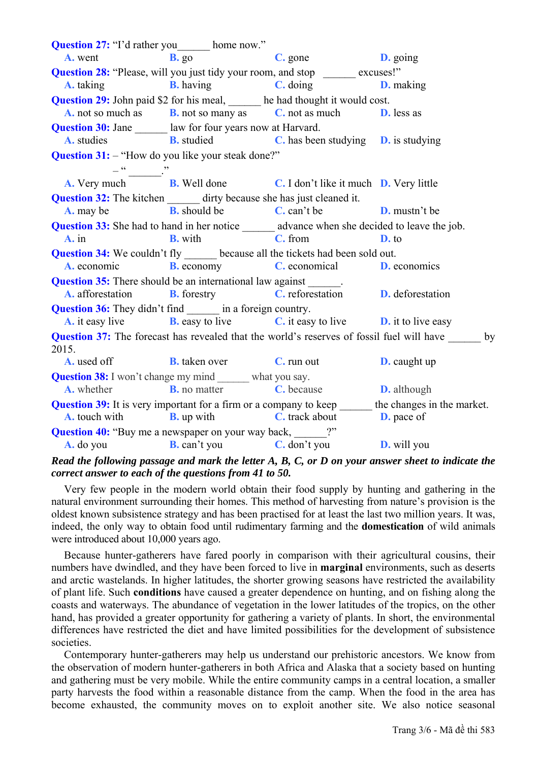**Question 27:** "I'd rather you home now." **A.** went **B.** go **C.** gone **D.** going **Question 28:** "Please, will you just tidy your room, and stop excuses!" **A.** taking **B.** having **C.** doing **D.** making **Question 29:** John paid \$2 for his meal, he had thought it would cost. **A.** not so much as **B.** not so many as **C.** not as much **D.** less as **Question 30:** Jane law for four years now at Harvard. **A.** studies **B.** studied **C.** has been studying **D.** is studying **Question 31:** – "How do you like your steak done?"  $-\frac{1}{\text{m}}$   $\frac{1}{\text{B}}$ . Well done **A.** Very much **B.** Well done **C.** I don't like it much **D.** Very little **Question 32:** The kitchen dirty because she has just cleaned it. **A.** may be **B.** should be **C.** can't be **D.** mustn't be **Question 33:** She had to hand in her notice advance when she decided to leave the job. **A.** in **B.** with **C.** from **D.** to **Question 34:** We couldn't fly because all the tickets had been sold out. **A.** economic **B.** economy **C.** economical **D.** economics **Question 35:** There should be an international law against **A.** afforestation **B.** forestry **C.** reforestation **D.** deforestation **Question 36:** They didn't find in a foreign country. **A.** it easy live **B.** easy to live **C.** it easy to live **D.** it to live easy **Question 37:** The forecast has revealed that the world's reserves of fossil fuel will have by 2015. **A.** used off **B.** taken over **C.** run out **D.** caught up **Question 38:** I won't change my mind \_\_\_\_\_\_ what you say. **A.** whether **B.** no matter **C.** because **D.** although **Question 39:** It is very important for a firm or a company to keep the changes in the market. **A.** touch with **B.** up with **C.** track about **D.** pace of **Question 40:** "Buy me a newspaper on your way back, **A.** do you **B.** can't you **C.** don't you **D.** will you

# *Read the following passage and mark the letter A, B, C, or D on your answer sheet to indicate the correct answer to each of the questions from 41 to 50.*

Very few people in the modern world obtain their food supply by hunting and gathering in the natural environment surrounding their homes. This method of harvesting from nature's provision is the oldest known subsistence strategy and has been practised for at least the last two million years. It was, indeed, the only way to obtain food until rudimentary farming and the **domestication** of wild animals were introduced about 10,000 years ago.

Because hunter-gatherers have fared poorly in comparison with their agricultural cousins, their numbers have dwindled, and they have been forced to live in **marginal** environments, such as deserts and arctic wastelands. In higher latitudes, the shorter growing seasons have restricted the availability of plant life. Such **conditions** have caused a greater dependence on hunting, and on fishing along the coasts and waterways. The abundance of vegetation in the lower latitudes of the tropics, on the other hand, has provided a greater opportunity for gathering a variety of plants. In short, the environmental differences have restricted the diet and have limited possibilities for the development of subsistence societies.

Contemporary hunter-gatherers may help us understand our prehistoric ancestors. We know from the observation of modern hunter-gatherers in both Africa and Alaska that a society based on hunting and gathering must be very mobile. While the entire community camps in a central location, a smaller party harvests the food within a reasonable distance from the camp. When the food in the area has become exhausted, the community moves on to exploit another site. We also notice seasonal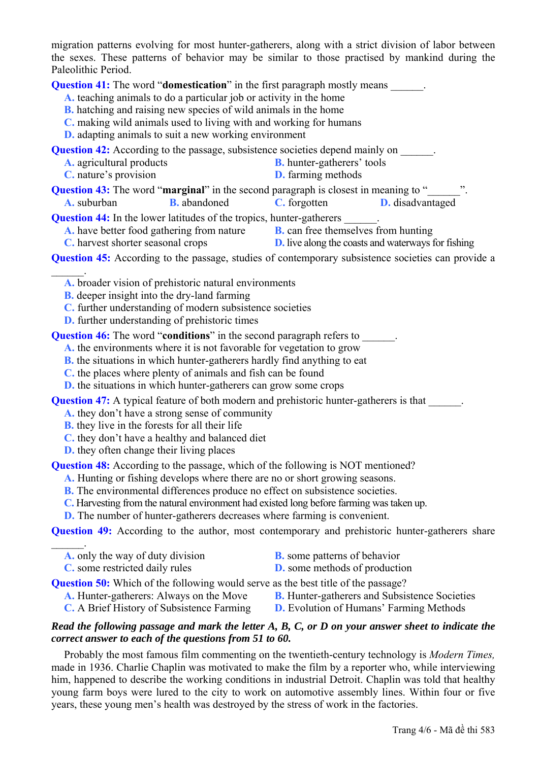migration patterns evolving for most hunter-gatherers, along with a strict division of labor between the sexes. These patterns of behavior may be similar to those practised by mankind during the Paleolithic Period.

**Question 41:** The word "**domestication**" in the first paragraph mostly means

- **A.** teaching animals to do a particular job or activity in the home
- **B.** hatching and raising new species of wild animals in the home
- **C.** making wild animals used to living with and working for humans
- **D.** adapting animals to suit a new working environment

**Question 42:** According to the passage, subsistence societies depend mainly on

- **A.** agricultural products **B.** hunter-gatherers' tools
	- **C.** nature's provision **D.** farming methods
- **Question 43:** The word "**marginal**" in the second paragraph is closest in meaning to " **A.** suburban **B.** abandoned **C.** forgotten **D.** disadvantaged

**Question 44:** In the lower latitudes of the tropics, hunter-gatherers

- **A.** have better food gathering from nature **B.** can free themselves from hunting
- **C.** harvest shorter seasonal crops **D.** live along the coasts and waterways for fishing
- **Question 45:** According to the passage, studies of contemporary subsistence societies can provide a
	- **A.** broader vision of prehistoric natural environments
	- **B.** deeper insight into the dry-land farming

 $\mathcal{L}_\mathrm{max}$ 

 $\mathcal{L}_\mathrm{max}$ 

- **C.** further understanding of modern subsistence societies
- **D.** further understanding of prehistoric times

**Question 46:** The word "**conditions**" in the second paragraph refers to

- **A.** the environments where it is not favorable for vegetation to grow
- **B.** the situations in which hunter-gatherers hardly find anything to eat
- **C.** the places where plenty of animals and fish can be found
- **D.** the situations in which hunter-gatherers can grow some crops

**Question 47:** A typical feature of both modern and prehistoric hunter-gatherers is that

- **A.** they don't have a strong sense of community
- **B.** they live in the forests for all their life
- **C.** they don't have a healthy and balanced diet
- **D.** they often change their living places

**Question 48:** According to the passage, which of the following is NOT mentioned?

- **A.** Hunting or fishing develops where there are no or short growing seasons.
- **B.** The environmental differences produce no effect on subsistence societies.
- **C.** Harvesting from the natural environment had existed long before farming was taken up.
- **D.** The number of hunter-gatherers decreases where farming is convenient.

**Question 49:** According to the author, most contemporary and prehistoric hunter-gatherers share

- **A.** only the way of duty division **B.** some patterns of behavior
- 
- 
- **C.** some restricted daily rules **D.** some methods of production

**Question 50:** Which of the following would serve as the best title of the passage?

- A. Hunter-gatherers: Always on the Move **B.** Hunter-gatherers and Subsistence Societies
- 
- **C.** A Brief History of Subsistence Farming **D.** Evolution of Humans' Farming Methods

#### *Read the following passage and mark the letter A, B, C, or D on your answer sheet to indicate the correct answer to each of the questions from 51 to 60.*

Probably the most famous film commenting on the twentieth-century technology is *Modern Times,* made in 1936. Charlie Chaplin was motivated to make the film by a reporter who, while interviewing him, happened to describe the working conditions in industrial Detroit. Chaplin was told that healthy young farm boys were lured to the city to work on automotive assembly lines. Within four or five years, these young men's health was destroyed by the stress of work in the factories.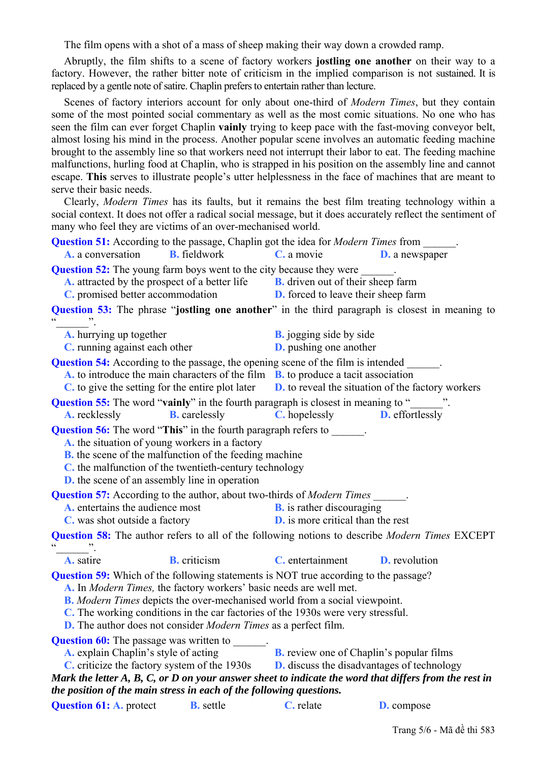The film opens with a shot of a mass of sheep making their way down a crowded ramp.

Abruptly, the film shifts to a scene of factory workers **jostling one another** on their way to a factory. However, the rather bitter note of criticism in the implied comparison is not sustained. It is replaced by a gentle note of satire. Chaplin prefers to entertain rather than lecture.

Scenes of factory interiors account for only about one-third of *Modern Times*, but they contain some of the most pointed social commentary as well as the most comic situations. No one who has seen the film can ever forget Chaplin **vainly** trying to keep pace with the fast-moving conveyor belt, almost losing his mind in the process. Another popular scene involves an automatic feeding machine brought to the assembly line so that workers need not interrupt their labor to eat. The feeding machine malfunctions, hurling food at Chaplin, who is strapped in his position on the assembly line and cannot escape. **This** serves to illustrate people's utter helplessness in the face of machines that are meant to serve their basic needs.

Clearly, *Modern Times* has its faults, but it remains the best film treating technology within a social context. It does not offer a radical social message, but it does accurately reflect the sentiment of many who feel they are victims of an over-mechanised world.

| <b>Question 51:</b> According to the passage, Chaplin got the idea for <i>Modern Times</i> from ______.                                                                                                                                                                                                                                                                                                                             |                      |                                                                                                      |                       |  |  |
|-------------------------------------------------------------------------------------------------------------------------------------------------------------------------------------------------------------------------------------------------------------------------------------------------------------------------------------------------------------------------------------------------------------------------------------|----------------------|------------------------------------------------------------------------------------------------------|-----------------------|--|--|
| A. a conversation                                                                                                                                                                                                                                                                                                                                                                                                                   | <b>B.</b> fieldwork  | $\mathbf C$ a movie                                                                                  | <b>D.</b> a newspaper |  |  |
| <b>Question 52:</b> The young farm boys went to the city because they were _______.                                                                                                                                                                                                                                                                                                                                                 |                      |                                                                                                      |                       |  |  |
| <b>A.</b> attracted by the prospect of a better life <b>B.</b> driven out of their sheep farm                                                                                                                                                                                                                                                                                                                                       |                      |                                                                                                      |                       |  |  |
| C. promised better accommodation                                                                                                                                                                                                                                                                                                                                                                                                    |                      | <b>D.</b> forced to leave their sheep farm                                                           |                       |  |  |
| <b>Question 53:</b> The phrase "jostling one another" in the third paragraph is closest in meaning to                                                                                                                                                                                                                                                                                                                               |                      |                                                                                                      |                       |  |  |
| A. hurrying up together                                                                                                                                                                                                                                                                                                                                                                                                             |                      | <b>B.</b> jogging side by side                                                                       |                       |  |  |
| <b>C</b> . running against each other                                                                                                                                                                                                                                                                                                                                                                                               |                      | <b>D.</b> pushing one another                                                                        |                       |  |  |
| <b>Question 54:</b> According to the passage, the opening scene of the film is intended _______.<br><b>A.</b> to introduce the main characters of the film $\overline{B}$ , to produce a tacit association<br>$C$ to give the setting for the entire plot later $D$ , to reveal the situation of the factory workers                                                                                                                |                      |                                                                                                      |                       |  |  |
| <b>Question 55:</b> The word "vainly" in the fourth paragraph is closest in meaning to "                                                                                                                                                                                                                                                                                                                                            |                      |                                                                                                      |                       |  |  |
| <b>A.</b> recklessly                                                                                                                                                                                                                                                                                                                                                                                                                | <b>B.</b> carelessly | <b>C.</b> hopelessly <b>D.</b> effortlessly                                                          |                       |  |  |
| <b>Question 56:</b> The word "This" in the fourth paragraph refers to ______.<br>A, the situation of young workers in a factory<br><b>B.</b> the scene of the malfunction of the feeding machine<br>C, the malfunction of the twentieth-century technology<br><b>D.</b> the scene of an assembly line in operation                                                                                                                  |                      |                                                                                                      |                       |  |  |
| <b>Question 57:</b> According to the author, about two-thirds of Modern Times ______.                                                                                                                                                                                                                                                                                                                                               |                      |                                                                                                      |                       |  |  |
| A. entertains the audience most                                                                                                                                                                                                                                                                                                                                                                                                     |                      | <b>B.</b> is rather discouraging                                                                     |                       |  |  |
| C. was shot outside a factory                                                                                                                                                                                                                                                                                                                                                                                                       |                      | <b>D.</b> is more critical than the rest                                                             |                       |  |  |
| <b>Question 58:</b> The author refers to all of the following notions to describe <i>Modern Times</i> EXCEPT                                                                                                                                                                                                                                                                                                                        |                      |                                                                                                      |                       |  |  |
| A. satire                                                                                                                                                                                                                                                                                                                                                                                                                           | <b>B.</b> criticism  | <b>C.</b> entertainment <b>D.</b> revolution                                                         |                       |  |  |
| <b>Question 59:</b> Which of the following statements is NOT true according to the passage?<br>A. In <i>Modern Times</i> , the factory workers' basic needs are well met.<br><b>B.</b> Modern Times depicts the over-mechanised world from a social viewpoint.<br>C. The working conditions in the car factories of the 1930s were very stressful.<br><b>D.</b> The author does not consider <i>Modern Times</i> as a perfect film. |                      |                                                                                                      |                       |  |  |
| <b>Question 60:</b> The passage was written to ______<br>A. explain Chaplin's style of acting<br>C. criticize the factory system of the 1930s                                                                                                                                                                                                                                                                                       |                      | <b>B.</b> review one of Chaplin's popular films<br><b>D.</b> discuss the disadvantages of technology |                       |  |  |
| Mark the letter $A, B, C, or D$ on your answer sheet to indicate the word that differs from the rest in                                                                                                                                                                                                                                                                                                                             |                      |                                                                                                      |                       |  |  |
| the position of the main stress in each of the following questions.                                                                                                                                                                                                                                                                                                                                                                 |                      |                                                                                                      |                       |  |  |
| <b>Question 61: A. protect</b>                                                                                                                                                                                                                                                                                                                                                                                                      | <b>B.</b> settle     | C. relate                                                                                            | <b>D.</b> compose     |  |  |